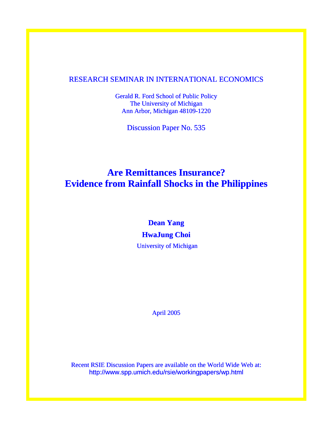### RESEARCH SEMINAR IN INTERNATIONAL ECONOMICS

Gerald R. Ford School of Public Policy The University of Michigan Ann Arbor, Michigan 48109-1220

Discussion Paper No. 535

# **Are Remittances Insurance? Evidence from Rainfall Shocks in the Philippines**

# **Dean Yang HwaJung Choi**

University of Michigan

April 2005

Recent RSIE Discussion Papers are available on the World Wide Web at: http://www.spp.umich.edu/rsie/workingpapers/wp.html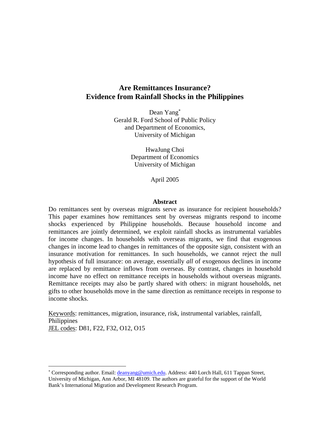### **Are Remittances Insurance? Evidence from Rainfall Shocks in the Philippines**

Dean Yang<sup>∗</sup> Gerald R. Ford School of Public Policy and Department of Economics, University of Michigan

> HwaJung Choi Department of Economics University of Michigan

> > April 2005

#### **Abstract**

Do remittances sent by overseas migrants serve as insurance for recipient households? This paper examines how remittances sent by overseas migrants respond to income shocks experienced by Philippine households. Because household income and remittances are jointly determined, we exploit rainfall shocks as instrumental variables for income changes. In households with overseas migrants, we find that exogenous changes in income lead to changes in remittances of the opposite sign, consistent with an insurance motivation for remittances. In such households, we cannot reject the null hypothesis of full insurance: on average, essentially *all* of exogenous declines in income are replaced by remittance inflows from overseas. By contrast, changes in household income have no effect on remittance receipts in households without overseas migrants. Remittance receipts may also be partly shared with others: in migrant households, net gifts to other households move in the same direction as remittance receipts in response to income shocks.

Keywords: remittances, migration, insurance, risk, instrumental variables, rainfall, Philippines JEL codes: D81, F22, F32, O12, O15

 $\overline{a}$ 

<sup>\*</sup> Corresponding author. Email: *deanyang@umich.edu.* Address: 440 Lorch Hall, 611 Tappan Street, University of Michigan, Ann Arbor, MI 48109. The authors are grateful for the support of the World Bank's International Migration and Development Research Program.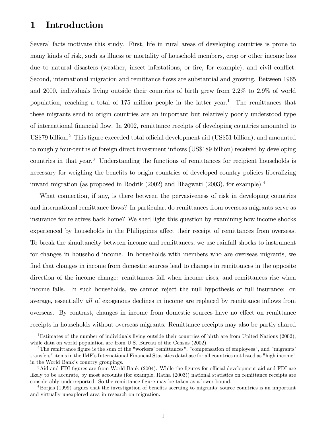# 1 Introduction

Several facts motivate this study. First, life in rural areas of developing countries is prone to many kinds of risk, such as illness or mortality of household members, crop or other income loss due to natural disasters (weather, insect infestations, or fire, for example), and civil conflict. Second, international migration and remittance flows are substantial and growing. Between 1965 and 2000, individuals living outside their countries of birth grew from 2.2% to 2.9% of world population, reaching a total of  $175$  million people in the latter year.<sup>1</sup> The remittances that these migrants send to origin countries are an important but relatively poorly understood type of international Önancial áow. In 2002, remittance receipts of developing countries amounted to US\$79 billion.<sup>2</sup> This figure exceeded total official development aid (US\$51 billion), and amounted to roughly four-tenths of foreign direct investment ináows (US\$189 billion) received by developing countries in that year.<sup>3</sup> Understanding the functions of remittances for recipient households is necessary for weighing the benefits to origin countries of developed-country policies liberalizing inward migration (as proposed in Rodrik (2002) and Bhagwati (2003), for example).<sup>4</sup>

What connection, if any, is there between the pervasiveness of risk in developing countries and international remittance flows? In particular, do remittances from overseas migrants serve as insurance for relatives back home? We shed light this question by examining how income shocks experienced by households in the Philippines affect their receipt of remittances from overseas. To break the simultaneity between income and remittances, we use rainfall shocks to instrument for changes in household income. In households with members who are overseas migrants, we find that changes in income from domestic sources lead to changes in remittances in the opposite direction of the income change: remittances fall when income rises, and remittances rise when income falls. In such households, we cannot reject the null hypothesis of full insurance: on average, essentially *all* of exogenous declines in income are replaced by remittance inflows from overseas. By contrast, changes in income from domestic sources have no effect on remittance receipts in households without overseas migrants. Remittance receipts may also be partly shared

<sup>1</sup>Estimates of the number of individuals living outside their countries of birth are from United Nations (2002), while data on world population are from U.S. Bureau of the Census (2002).

<sup>&</sup>lt;sup>2</sup>The remittance figure is the sum of the "workers' remittances", "compensation of employees", and "migrants' transfers" items in the IMFís International Financial Statistics database for all countries not listed as "high income" in the World Bank's country groupings.

 $3$ Aid and FDI figures are from World Bank (2004). While the figures for official development aid and FDI are likely to be accurate, by most accounts (for example, Ratha (2003)) national statistics on remittance receipts are considerably underreported. So the remittance figure may be taken as a lower bound.

<sup>&</sup>lt;sup>4</sup>Borjas (1999) argues that the investigation of benefits accruing to migrants' source countries is an important and virtually unexplored area in research on migration.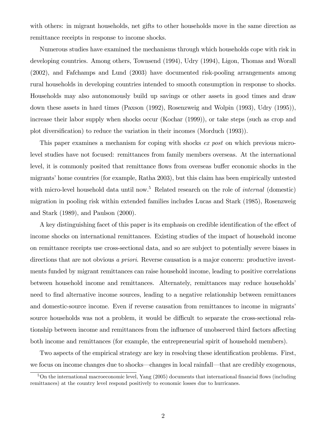with others: in migrant households, net gifts to other households move in the same direction as remittance receipts in response to income shocks.

Numerous studies have examined the mechanisms through which households cope with risk in developing countries. Among others, Townsend (1994), Udry (1994), Ligon, Thomas and Worall (2002), and Fafchamps and Lund (2003) have documented risk-pooling arrangements among rural households in developing countries intended to smooth consumption in response to shocks. Households may also autonomously build up savings or other assets in good times and draw down these assets in hard times (Paxson (1992), Rosenzweig and Wolpin (1993), Udry (1995)), increase their labor supply when shocks occur (Kochar (1999)), or take steps (such as crop and plot diversification) to reduce the variation in their incomes (Morduch (1993)).

This paper examines a mechanism for coping with shocks ex post on which previous microlevel studies have not focused: remittances from family members overseas. At the international level, it is commonly posited that remittance flows from overseas buffer economic shocks in the migrants' home countries (for example, Ratha 2003), but this claim has been empirically untested with micro-level household data until now.<sup>5</sup> Related research on the role of *internal* (domestic) migration in pooling risk within extended families includes Lucas and Stark (1985), Rosenzweig and Stark (1989), and Paulson (2000).

A key distinguishing facet of this paper is its emphasis on credible identification of the effect of income shocks on international remittances. Existing studies of the impact of household income on remittance receipts use cross-sectional data, and so are subject to potentially severe biases in directions that are not obvious a priori. Reverse causation is a major concern: productive investments funded by migrant remittances can raise household income, leading to positive correlations between household income and remittances. Alternately, remittances may reduce households<sup>7</sup> need to find alternative income sources, leading to a negative relationship between remittances and domestic-source income. Even if reverse causation from remittances to income in migrants' source households was not a problem, it would be difficult to separate the cross-sectional relationship between income and remittances from the influence of unobserved third factors affecting both income and remittances (for example, the entrepreneurial spirit of household members).

Two aspects of the empirical strategy are key in resolving these identification problems. First, we focus on income changes due to shocks—changes in local rainfall—that are credibly exogenous,

 $5$ On the international macroeconomic level, Yang  $(2005)$  documents that international financial flows (including remittances) at the country level respond positively to economic losses due to hurricanes.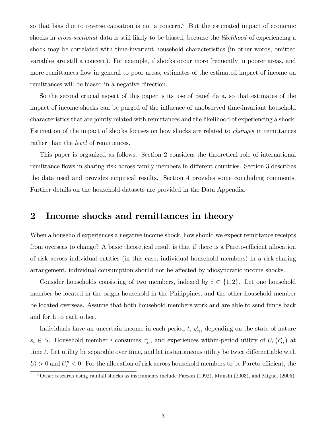so that bias due to reverse causation is not a concern.<sup>6</sup> But the estimated impact of economic shocks in *cross-sectional* data is still likely to be biased, because the *likelihood* of experiencing a shock may be correlated with time-invariant household characteristics (in other words, omitted variables are still a concern). For example, if shocks occur more frequently in poorer areas, and more remittances flow in general to poor areas, estimates of the estimated impact of income on remittances will be biased in a negative direction.

So the second crucial aspect of this paper is its use of panel data, so that estimates of the impact of income shocks can be purged of the influence of unobserved time-invariant household characteristics that are jointly related with remittances and the likelihood of experiencing a shock. Estimation of the impact of shocks focuses on how shocks are related to changes in remittances rather than the level of remittances.

This paper is organized as follows. Section 2 considers the theoretical role of international remittance flows in sharing risk across family members in different countries. Section 3 describes the data used and provides empirical results. Section 4 provides some concluding comments. Further details on the household datasets are provided in the Data Appendix.

## 2 Income shocks and remittances in theory

When a household experiences a negative income shock, how should we expect remittance receipts from overseas to change? A basic theoretical result is that if there is a Pareto-efficient allocation of risk across individual entities (in this case, individual household members) in a risk-sharing arrangement, individual consumption should not be affected by idiosyncratic income shocks.

Consider households consisting of two members, indexed by  $i \in \{1, 2\}$ . Let one household member be located in the origin household in the Philippines, and the other household member be located overseas. Assume that both household members work and are able to send funds back and forth to each other.

Individuals have an uncertain income in each period  $t, y_{s_t}^i$ , depending on the state of nature  $s_t \in S$ . Household member i consumes  $c_{s_t}^i$ , and experiences within-period utility of  $U_i(c_{s_t}^i)$  at time  $t$ . Let utility be separable over time, and let instantaneous utility be twice differentiable with  $U_i' > 0$  and  $U_i'' < 0$ . For the allocation of risk across household members to be Pareto-efficient, the

 $6$ Other research using rainfall shocks as instruments include Paxson (1992), Munshi (2003), and Miguel (2005).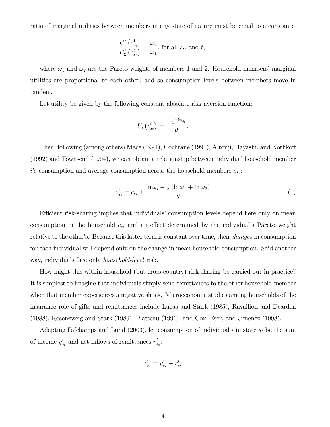ratio of marginal utilities between members in any state of nature must be equal to a constant:

$$
\frac{U_1'\left(c_{s_t}^1\right)}{U_2'\left(c_{s_t}^2\right)} = \frac{\omega_2}{\omega_1}, \text{ for all } s_t, \text{ and } t,
$$

where  $\omega_1$  and  $\omega_2$  are the Pareto weights of members 1 and 2. Household members' marginal utilities are proportional to each other, and so consumption levels between members move in tandem.

Let utility be given by the following constant absolute risk aversion function:

$$
U_i\left(c_{s_t}^i\right) = \frac{-e^{-\theta c_{s_t}^i}}{\theta}.
$$

Then, following (among others) Mace (1991), Cochrane (1991), Altonji, Hayashi, and Kotlikoff (1992) and Townsend (1994), we can obtain a relationship between individual household member i's consumption and average consumption across the household members  $\bar{c}_{s_t}$ :

$$
c_{s_t}^i = \overline{c}_{s_t} + \frac{\ln \omega_i - \frac{1}{2} (\ln \omega_1 + \ln \omega_2)}{\theta} \tag{1}
$$

Efficient risk-sharing implies that individuals' consumption levels depend here only on mean consumption in the household  $\bar{c}_{s_t}$  and an effect determined by the individual's Pareto weight relative to the other's. Because this latter term is constant over time, then *changes* in consumption for each individual will depend only on the change in mean household consumption. Said another way, individuals face only household-level risk.

How might this within-household (but cross-country) risk-sharing be carried out in practice? It is simplest to imagine that individuals simply send remittances to the other household member when that member experiences a negative shock. Microeconomic studies among households of the insurance role of gifts and remittances include Lucas and Stark (1985), Ravallion and Dearden (1988), Rosenzweig and Stark (1989), Platteau (1991), and Cox, Eser, and Jimenez (1998).

Adapting Fafchamps and Lund (2003), let consumption of individual i in state  $s_t$  be the sum of income  $y_{s_t}^i$  and net inflows of remittances  $r_{s_t}^i$ :

$$
c_{s_t}^i = y_{s_t}^i + r_{s_t}^i
$$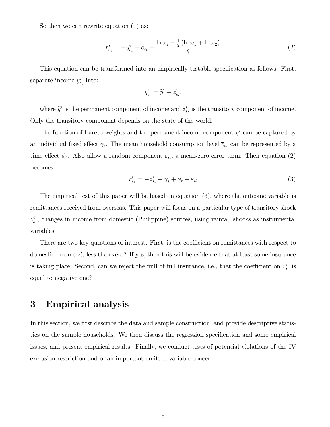So then we can rewrite equation  $(1)$  as:

$$
r_{s_t}^i = -y_{s_t}^i + \overline{c}_{s_t} + \frac{\ln \omega_i - \frac{1}{2} (\ln \omega_1 + \ln \omega_2)}{\theta} \tag{2}
$$

This equation can be transformed into an empirically testable specification as follows. First, separate income  $y_{s_t}^i$  into:

$$
y_{s_t}^i = \widetilde{y}^i + z_{s_t}^i,
$$

where  $\tilde{y}^i$  is the permanent component of income and  $z_{s_t}^i$  is the transitory component of income. Only the transitory component depends on the state of the world.

The function of Pareto weights and the permanent income component  $\tilde{y}^i$  can be captured by an individual fixed effect  $\gamma_i$ . The mean household consumption level  $\bar{c}_{s_t}$  can be represented by a time effect  $\phi_t$ . Also allow a random component  $\varepsilon_{it}$ , a mean-zero error term. Then equation (2) becomes:

$$
r_{s_t}^i = -z_{s_t}^i + \gamma_i + \phi_t + \varepsilon_{it} \tag{3}
$$

The empirical test of this paper will be based on equation (3), where the outcome variable is remittances received from overseas. This paper will focus on a particular type of transitory shock  $z_{s_t}^i$ , changes in income from domestic (Philippine) sources, using rainfall shocks as instrumental variables.

There are two key questions of interest. First, is the coefficient on remittances with respect to domestic income  $z_{st}^{i}$  less than zero? If yes, then this will be evidence that at least some insurance is taking place. Second, can we reject the null of full insurance, i.e., that the coefficient on  $z_{s_t}^i$  is equal to negative one?

# 3 Empirical analysis

In this section, we first describe the data and sample construction, and provide descriptive statistics on the sample households. We then discuss the regression specification and some empirical issues, and present empirical results. Finally, we conduct tests of potential violations of the IV exclusion restriction and of an important omitted variable concern.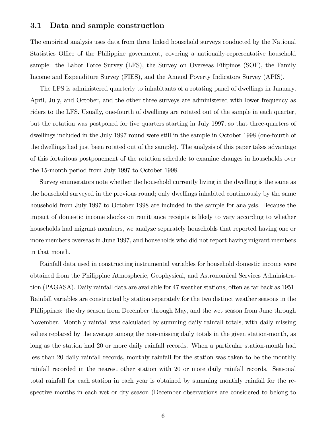#### 3.1 Data and sample construction

The empirical analysis uses data from three linked household surveys conducted by the National Statistics Office of the Philippine government, covering a nationally-representative household sample: the Labor Force Survey (LFS), the Survey on Overseas Filipinos (SOF), the Family Income and Expenditure Survey (FIES), and the Annual Poverty Indicators Survey (APIS).

The LFS is administered quarterly to inhabitants of a rotating panel of dwellings in January, April, July, and October, and the other three surveys are administered with lower frequency as riders to the LFS. Usually, one-fourth of dwellings are rotated out of the sample in each quarter, but the rotation was postponed for Öve quarters starting in July 1997, so that three-quarters of dwellings included in the July 1997 round were still in the sample in October 1998 (one-fourth of the dwellings had just been rotated out of the sample). The analysis of this paper takes advantage of this fortuitous postponement of the rotation schedule to examine changes in households over the 15-month period from July 1997 to October 1998.

Survey enumerators note whether the household currently living in the dwelling is the same as the household surveyed in the previous round; only dwellings inhabited continuously by the same household from July 1997 to October 1998 are included in the sample for analysis. Because the impact of domestic income shocks on remittance receipts is likely to vary according to whether households had migrant members, we analyze separately households that reported having one or more members overseas in June 1997, and households who did not report having migrant members in that month.

Rainfall data used in constructing instrumental variables for household domestic income were obtained from the Philippine Atmospheric, Geophysical, and Astronomical Services Administration (PAGASA). Daily rainfall data are available for 47 weather stations, often as far back as 1951. Rainfall variables are constructed by station separately for the two distinct weather seasons in the Philippines: the dry season from December through May, and the wet season from June through November. Monthly rainfall was calculated by summing daily rainfall totals, with daily missing values replaced by the average among the non-missing daily totals in the given station-month, as long as the station had 20 or more daily rainfall records. When a particular station-month had less than 20 daily rainfall records, monthly rainfall for the station was taken to be the monthly rainfall recorded in the nearest other station with 20 or more daily rainfall records. Seasonal total rainfall for each station in each year is obtained by summing monthly rainfall for the respective months in each wet or dry season (December observations are considered to belong to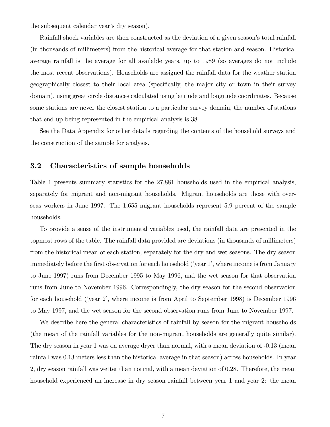the subsequent calendar year's dry season).

Rainfall shock variables are then constructed as the deviation of a given season's total rainfall (in thousands of millimeters) from the historical average for that station and season. Historical average rainfall is the average for all available years, up to 1989 (so averages do not include the most recent observations). Households are assigned the rainfall data for the weather station geographically closest to their local area (specifically, the major city or town in their survey domain), using great circle distances calculated using latitude and longitude coordinates. Because some stations are never the closest station to a particular survey domain, the number of stations that end up being represented in the empirical analysis is 38.

See the Data Appendix for other details regarding the contents of the household surveys and the construction of the sample for analysis.

### 3.2 Characteristics of sample households

Table 1 presents summary statistics for the 27,881 households used in the empirical analysis, separately for migrant and non-migrant households. Migrant households are those with overseas workers in June 1997. The 1,655 migrant households represent 5.9 percent of the sample households.

To provide a sense of the instrumental variables used, the rainfall data are presented in the topmost rows of the table. The rainfall data provided are deviations (in thousands of millimeters) from the historical mean of each station, separately for the dry and wet seasons. The dry season immediately before the first observation for each household ('year 1', where income is from January to June 1997) runs from December 1995 to May 1996, and the wet season for that observation runs from June to November 1996. Correspondingly, the dry season for the second observation for each household ('year 2', where income is from April to September 1998) is December 1996 to May 1997, and the wet season for the second observation runs from June to November 1997.

We describe here the general characteristics of rainfall by season for the migrant households (the mean of the rainfall variables for the non-migrant households are generally quite similar). The dry season in year 1 was on average dryer than normal, with a mean deviation of -0.13 (mean rainfall was 0.13 meters less than the historical average in that season) across households. In year 2, dry season rainfall was wetter than normal, with a mean deviation of 0.28. Therefore, the mean household experienced an increase in dry season rainfall between year 1 and year 2: the mean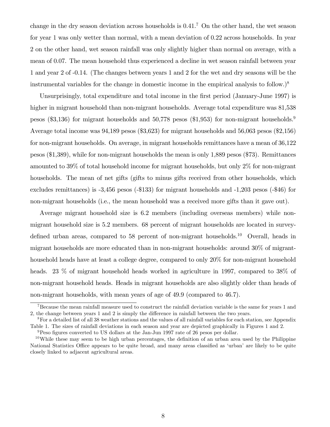change in the dry season deviation across households is  $0.41$ .<sup>7</sup> On the other hand, the wet season for year 1 was only wetter than normal, with a mean deviation of 0.22 across households. In year 2 on the other hand, wet season rainfall was only slightly higher than normal on average, with a mean of 0.07. The mean household thus experienced a decline in wet season rainfall between year 1 and year 2 of -0.14. (The changes between years 1 and 2 for the wet and dry seasons will be the instrumental variables for the change in domestic income in the empirical analysis to follow.)<sup>8</sup>

Unsurprisingly, total expenditure and total income in the first period (January-June 1997) is higher in migrant household than non-migrant households. Average total expenditure was 81,538 pesos (\$3,136) for migrant households and 50,778 pesos (\$1,953) for non-migrant households.<sup>9</sup> Average total income was 94,189 pesos (\$3,623) for migrant households and 56,063 pesos (\$2,156) for non-migrant households. On average, in migrant households remittances have a mean of 36,122 pesos (\$1,389), while for non-migrant households the mean is only 1,889 pesos (\$73). Remittances amounted to 39% of total household income for migrant households, but only 2% for non-migrant households. The mean of net gifts (gifts to minus gifts received from other households, which excludes remittances) is -3,456 pesos (-\$133) for migrant households and -1,203 pesos (-\$46) for non-migrant households (i.e., the mean household was a received more gifts than it gave out).

Average migrant household size is 6.2 members (including overseas members) while nonmigrant household size is 5.2 members. 68 percent of migrant households are located in surveydefined urban areas, compared to 58 percent of non-migrant households.<sup>10</sup> Overall, heads in migrant households are more educated than in non-migrant households: around 30% of migranthousehold heads have at least a college degree, compared to only 20% for non-migrant household heads. 23 % of migrant household heads worked in agriculture in 1997, compared to 38% of non-migrant household heads. Heads in migrant households are also slightly older than heads of non-migrant households, with mean years of age of 49.9 (compared to 46.7).

<sup>&</sup>lt;sup>7</sup>Because the mean rainfall measure used to construct the rainfall deviation variable is the same for years 1 and 2, the change between years 1 and 2 is simply the difference in rainfall between the two years.

<sup>8</sup>For a detailed list of all 38 weather stations and the values of all rainfall variables for each station, see Appendix Table 1. The sizes of rainfall deviations in each season and year are depicted graphically in Figures 1 and 2.

 $9$ Peso figures converted to US dollars at the Jan-Jun 1997 rate of 26 pesos per dollar.

 $10$ While these may seem to be high urban percentages, the definition of an urban area used by the Philippine National Statistics Office appears to be quite broad, and many areas classified as 'urban' are likely to be quite closely linked to adjacent agricultural areas.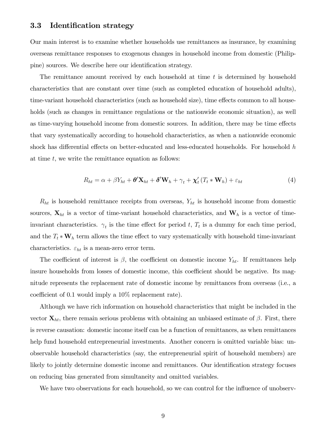### 3.3 Identification strategy

Our main interest is to examine whether households use remittances as insurance, by examining overseas remittance responses to exogenous changes in household income from domestic (Philippine) sources. We describe here our identification strategy.

The remittance amount received by each household at time  $t$  is determined by household characteristics that are constant over time (such as completed education of household adults), time-variant household characteristics (such as household size), time effects common to all households (such as changes in remittance regulations or the nationwide economic situation), as well as time-varying household income from domestic sources. In addition, there may be time effects that vary systematically according to household characteristics, as when a nationwide economic shock has differential effects on better-educated and less-educated households. For household  $h$ at time  $t$ , we write the remittance equation as follows:

$$
R_{ht} = \alpha + \beta Y_{ht} + \boldsymbol{\theta}' \mathbf{X}_{ht} + \boldsymbol{\delta}' \mathbf{W}_h + \gamma_t + \boldsymbol{\chi}'_t (T_t * \mathbf{W}_h) + \varepsilon_{ht}
$$
(4)

 $R_{ht}$  is household remittance receipts from overseas,  $Y_{ht}$  is household income from domestic sources,  $\mathbf{X}_{ht}$  is a vector of time-variant household characteristics, and  $\mathbf{W}_h$  is a vector of timeinvariant characteristics.  $\gamma_t$  is the time effect for period t,  $T_t$  is a dummy for each time period, and the  $T_t * \mathbf{W}_h$  term allows the time effect to vary systematically with household time-invariant characteristics.  $\varepsilon_{ht}$  is a mean-zero error term.

The coefficient of interest is  $\beta$ , the coefficient on domestic income  $Y_{ht}$ . If remittances help insure households from losses of domestic income, this coefficient should be negative. Its magnitude represents the replacement rate of domestic income by remittances from overseas (i.e., a coefficient of 0.1 would imply a  $10\%$  replacement rate).

Although we have rich information on household characteristics that might be included in the vector  $\mathbf{X}_{ht}$ , there remain serious problems with obtaining an unbiased estimate of  $\beta$ . First, there is reverse causation: domestic income itself can be a function of remittances, as when remittances help fund household entrepreneurial investments. Another concern is omitted variable bias: unobservable household characteristics (say, the entrepreneurial spirit of household members) are likely to jointly determine domestic income and remittances. Our identification strategy focuses on reducing bias generated from simultaneity and omitted variables.

We have two observations for each household, so we can control for the influence of unobserv-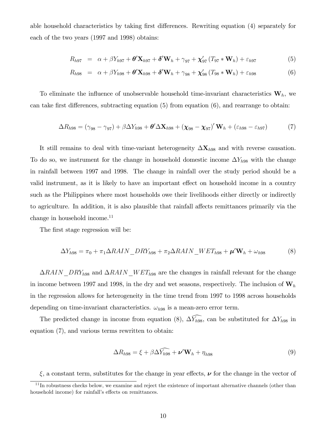able household characteristics by taking first differences. Rewriting equation (4) separately for each of the two years (1997 and 1998) obtains:

$$
R_{h97} = \alpha + \beta Y_{h97} + \theta' \mathbf{X}_{h97} + \delta' \mathbf{W}_h + \gamma_{97} + \mathbf{\chi}'_{97} (T_{97} * \mathbf{W}_h) + \varepsilon_{h97}
$$
(5)

$$
R_{h98} = \alpha + \beta Y_{h98} + \theta' \mathbf{X}_{h98} + \delta' \mathbf{W}_h + \gamma_{98} + \mathbf{\chi}'_{98} (T_{98} * \mathbf{W}_h) + \varepsilon_{h98}
$$
(6)

To eliminate the influence of unobservable household time-invariant characteristics  $W_h$ , we can take first differences, subtracting equation  $(5)$  from equation  $(6)$ , and rearrange to obtain:

$$
\Delta R_{h98} = (\gamma_{98} - \gamma_{97}) + \beta \Delta Y_{h98} + \theta' \Delta \mathbf{X}_{h98} + (\mathbf{\chi}_{98} - \mathbf{\chi}_{97})' \mathbf{W}_h + (\varepsilon_{h98} - \varepsilon_{h97})
$$
(7)

It still remains to deal with time-variant heterogeneity  $\Delta X_{h98}$  and with reverse causation. To do so, we instrument for the change in household domestic income  $\Delta Y_{h98}$  with the change in rainfall between 1997 and 1998. The change in rainfall over the study period should be a valid instrument, as it is likely to have an important effect on household income in a country such as the Philippines where most households owe their livelihoods either directly or indirectly to agriculture. In addition, it is also plausible that rainfall affects remittances primarily via the change in household income.<sup>11</sup>

The first stage regression will be:

$$
\Delta Y_{h98} = \pi_0 + \pi_1 \Delta R A I N \Delta R Y_{h98} + \pi_2 \Delta R A I N \Delta W E T_{h98} + \mu' W_h + \omega_{h98}
$$
(8)

 $\Delta R A I N\_DRY_{h98}$  and  $\Delta R A I N\_W ET_{h98}$  are the changes in rainfall relevant for the change in income between 1997 and 1998, in the dry and wet seasons, respectively. The inclusion of  $W_h$ in the regression allows for heterogeneity in the time trend from 1997 to 1998 across households depending on time-invariant characteristics.  $\omega_{h98}$  is a mean-zero error term.

The predicted change in income from equation (8),  $\widehat{\Delta Y_{h98}}$ , can be substituted for  $\Delta Y_{h98}$  in equation (7), and various terms rewritten to obtain:

$$
\Delta R_{h98} = \xi + \beta \Delta \widehat{Y_{h98}} + \nu' \mathbf{W}_h + \eta_{h98}
$$
\n(9)

 $\xi$ , a constant term, substitutes for the change in year effects,  $\nu$  for the change in the vector of

 $11$ In robustness checks below, we examine and reject the existence of important alternative channels (other than household income) for rainfall's effects on remittances.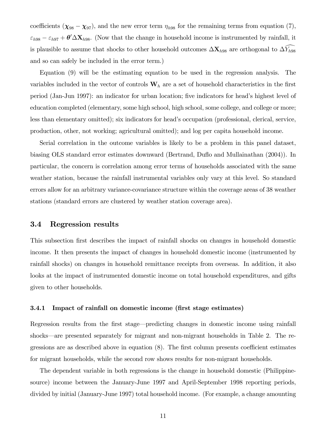coefficients  $(\chi_{98} - \chi_{97})$ , and the new error term  $\eta_{h98}$  for the remaining terms from equation (7),  $\varepsilon_{h98} - \varepsilon_{h97} + \theta' \Delta X_{h98}$ . (Now that the change in household income is instrumented by rainfall, it is plausible to assume that shocks to other household outcomes  $\Delta \mathbf{X}_{h98}$  are orthogonal to  $\Delta \widehat{Y}_{h98}$ and so can safely be included in the error term.)

Equation (9) will be the estimating equation to be used in the regression analysis. The variables included in the vector of controls  $\mathbf{W}_h$  are a set of household characteristics in the first period (Jan-Jun 1997): an indicator for urban location; five indicators for head's highest level of education completed (elementary, some high school, high school, some college, and college or more; less than elementary omitted); six indicators for head's occupation (professional, clerical, service, production, other, not working; agricultural omitted); and log per capita household income.

Serial correlation in the outcome variables is likely to be a problem in this panel dataset, biasing OLS standard error estimates downward (Bertrand, Duflo and Mullainathan (2004)). In particular, the concern is correlation among error terms of households associated with the same weather station, because the rainfall instrumental variables only vary at this level. So standard errors allow for an arbitrary variance-covariance structure within the coverage areas of 38 weather stations (standard errors are clustered by weather station coverage area).

#### 3.4 Regression results

This subsection first describes the impact of rainfall shocks on changes in household domestic income. It then presents the impact of changes in household domestic income (instrumented by rainfall shocks) on changes in household remittance receipts from overseas. In addition, it also looks at the impact of instrumented domestic income on total household expenditures, and gifts given to other households.

#### 3.4.1 Impact of rainfall on domestic income (first stage estimates)

Regression results from the first stage—predicting changes in domestic income using rainfall shocks—are presented separately for migrant and non-migrant households in Table 2. The regressions are as described above in equation  $(8)$ . The first column presents coefficient estimates for migrant households, while the second row shows results for non-migrant households.

The dependent variable in both regressions is the change in household domestic (Philippinesource) income between the January-June 1997 and April-September 1998 reporting periods, divided by initial (January-June 1997) total household income. (For example, a change amounting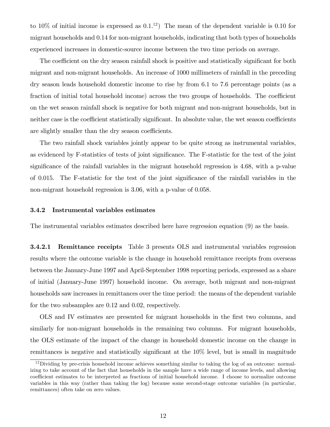to 10% of initial income is expressed as  $0.1^{12}$ ) The mean of the dependent variable is 0.10 for migrant households and 0.14 for non-migrant households, indicating that both types of households experienced increases in domestic-source income between the two time periods on average.

The coefficient on the dry season rainfall shock is positive and statistically significant for both migrant and non-migrant households. An increase of 1000 millimeters of rainfall in the preceding dry season leads household domestic income to rise by from 6.1 to 7.6 percentage points (as a fraction of initial total household income) across the two groups of households. The coefficient on the wet season rainfall shock is negative for both migrant and non-migrant households, but in neither case is the coefficient statistically significant. In absolute value, the wet season coefficients are slightly smaller than the dry season coefficients.

The two rainfall shock variables jointly appear to be quite strong as instrumental variables, as evidenced by F-statistics of tests of joint significance. The F-statistic for the test of the joint significance of the rainfall variables in the migrant household regression is 4.68, with a p-value of 0.015. The F-statistic for the test of the joint significance of the rainfall variables in the non-migrant household regression is 3.06, with a p-value of 0.058.

#### 3.4.2 Instrumental variables estimates

The instrumental variables estimates described here have regression equation (9) as the basis.

3.4.2.1 Remittance receipts Table 3 presents OLS and instrumental variables regression results where the outcome variable is the change in household remittance receipts from overseas between the January-June 1997 and April-September 1998 reporting periods, expressed as a share of initial (January-June 1997) household income. On average, both migrant and non-migrant households saw increases in remittances over the time period: the means of the dependent variable for the two subsamples are 0.12 and 0.02, respectively.

OLS and IV estimates are presented for migrant households in the Örst two columns, and similarly for non-migrant households in the remaining two columns. For migrant households, the OLS estimate of the impact of the change in household domestic income on the change in remittances is negative and statistically significant at the 10% level, but is small in magnitude

<sup>&</sup>lt;sup>12</sup>Dividing by pre-crisis household income achieves something similar to taking the log of an outcome: normalizing to take account of the fact that households in the sample have a wide range of income levels, and allowing coefficient estimates to be interpreted as fractions of initial household income. I choose to normalize outcome variables in this way (rather than taking the log) because some second-stage outcome variables (in particular, remittances) often take on zero values.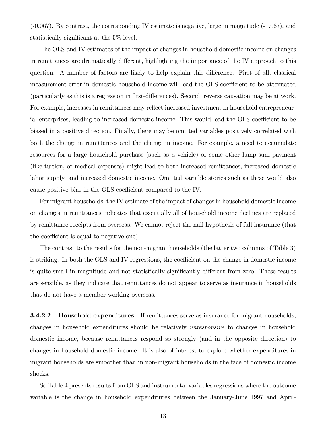(-0.067). By contrast, the corresponding IV estimate is negative, large in magnitude (-1.067), and statistically significant at the  $5\%$  level.

The OLS and IV estimates of the impact of changes in household domestic income on changes in remittances are dramatically different, highlighting the importance of the IV approach to this question. A number of factors are likely to help explain this difference. First of all, classical measurement error in domestic household income will lead the OLS coefficient to be attenuated (particularly as this is a regression in first-differences). Second, reverse causation may be at work. For example, increases in remittances may reflect increased investment in household entrepreneurial enterprises, leading to increased domestic income. This would lead the OLS coefficient to be biased in a positive direction. Finally, there may be omitted variables positively correlated with both the change in remittances and the change in income. For example, a need to accumulate resources for a large household purchase (such as a vehicle) or some other lump-sum payment (like tuition, or medical expenses) might lead to both increased remittances, increased domestic labor supply, and increased domestic income. Omitted variable stories such as these would also cause positive bias in the OLS coefficient compared to the IV.

For migrant households, the IV estimate of the impact of changes in household domestic income on changes in remittances indicates that essentially all of household income declines are replaced by remittance receipts from overseas. We cannot reject the null hypothesis of full insurance (that the coefficient is equal to negative one).

The contrast to the results for the non-migrant households (the latter two columns of Table 3) is striking. In both the OLS and IV regressions, the coefficient on the change in domestic income is quite small in magnitude and not statistically significantly different from zero. These results are sensible, as they indicate that remittances do not appear to serve as insurance in households that do not have a member working overseas.

**3.4.2.2** Household expenditures If remittances serve as insurance for migrant households, changes in household expenditures should be relatively unresponsive to changes in household domestic income, because remittances respond so strongly (and in the opposite direction) to changes in household domestic income. It is also of interest to explore whether expenditures in migrant households are smoother than in non-migrant households in the face of domestic income shocks.

So Table 4 presents results from OLS and instrumental variables regressions where the outcome variable is the change in household expenditures between the January-June 1997 and April-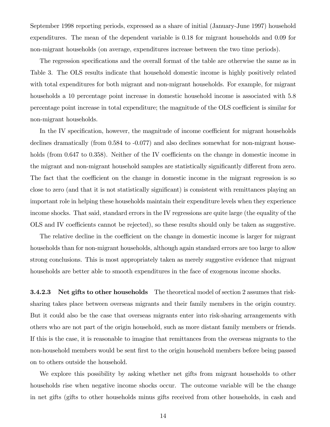September 1998 reporting periods, expressed as a share of initial (January-June 1997) household expenditures. The mean of the dependent variable is 0.18 for migrant households and 0.09 for non-migrant households (on average, expenditures increase between the two time periods).

The regression specifications and the overall format of the table are otherwise the same as in Table 3. The OLS results indicate that household domestic income is highly positively related with total expenditures for both migrant and non-migrant households. For example, for migrant households a 10 percentage point increase in domestic household income is associated with 5.8 percentage point increase in total expenditure; the magnitude of the OLS coefficient is similar for non-migrant households.

In the IV specification, however, the magnitude of income coefficient for migrant households declines dramatically (from 0.584 to -0.077) and also declines somewhat for non-migrant households (from  $0.647$  to  $0.358$ ). Neither of the IV coefficients on the change in domestic income in the migrant and non-migrant household samples are statistically significantly different from zero. The fact that the coefficient on the change in domestic income in the migrant regression is so close to zero (and that it is not statistically significant) is consistent with remittances playing an important role in helping these households maintain their expenditure levels when they experience income shocks. That said, standard errors in the IV regressions are quite large (the equality of the OLS and IV coefficients cannot be rejected), so these results should only be taken as suggestive.

The relative decline in the coefficient on the change in domestic income is larger for migrant households than for non-migrant households, although again standard errors are too large to allow strong conclusions. This is most appropriately taken as merely suggestive evidence that migrant households are better able to smooth expenditures in the face of exogenous income shocks.

3.4.2.3 Net gifts to other households The theoretical model of section 2 assumes that risksharing takes place between overseas migrants and their family members in the origin country. But it could also be the case that overseas migrants enter into risk-sharing arrangements with others who are not part of the origin household, such as more distant family members or friends. If this is the case, it is reasonable to imagine that remittances from the overseas migrants to the non-household members would be sent first to the origin household members before being passed on to others outside the household.

We explore this possibility by asking whether net gifts from migrant households to other households rise when negative income shocks occur. The outcome variable will be the change in net gifts (gifts to other households minus gifts received from other households, in cash and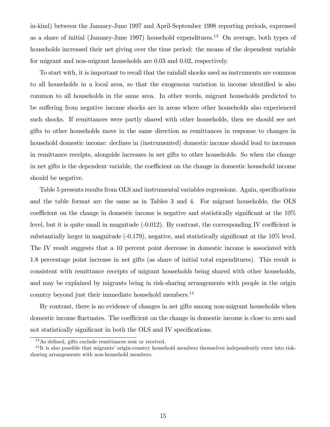in-kind) between the January-June 1997 and April-September 1998 reporting periods, expressed as a share of initial (January-June 1997) household expenditures.<sup>13</sup> On average, both types of households increased their net giving over the time period: the means of the dependent variable for migrant and non-migrant households are 0.03 and 0.02, respectively.

To start with, it is important to recall that the rainfall shocks used as instruments are common to all households in a local area, so that the exogenous variation in income identified is also common to all households in the same area. In other words, migrant households predicted to be suffering from negative income shocks are in areas where other households also experienced such shocks. If remittances were partly shared with other households, then we should see net gifts to other households move in the same direction as remittances in response to changes in household domestic income: declines in (instrumented) domestic income should lead to increases in remittance receipts, alongside increases in net gifts to other households. So when the change in net gifts is the dependent variable, the coefficient on the change in domestic household income should be negative.

Table 5 presents results from OLS and instrumental variables regressions. Again, specifications and the table format are the same as in Tables 3 and 4. For migrant households, the OLS coefficient on the change in domestic income is negative and statistically significant at the  $10\%$ level, but it is quite small in magnitude  $(-0.012)$ . By contrast, the corresponding IV coefficient is substantially larger in magnitude  $(-0.179)$ , negative, and statistically significant at the  $10\%$  level. The IV result suggests that a 10 percent point decrease in domestic income is associated with 1.8 percentage point increase in net gifts (as share of initial total expenditures). This result is consistent with remittance receipts of migrant households being shared with other households, and may be explained by migrants being in risk-sharing arrangements with people in the origin country beyond just their immediate household members.<sup>14</sup>

By contrast, there is no evidence of changes in net gifts among non-migrant households when domestic income fluctuates. The coefficient on the change in domestic income is close to zero and not statistically significant in both the OLS and IV specifications.

 $13\text{As}$  defined, gifts exclude remittances sent or received.

 $14$ It is also possible that migrants' origin-country household members themselves independently enter into risksharing arrangements with non-household members.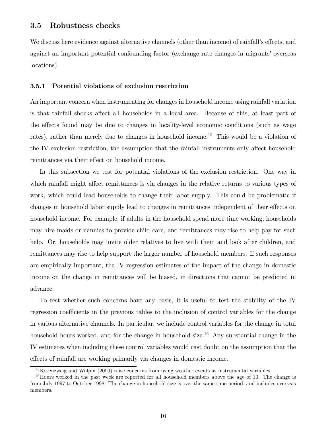We discuss here evidence against alternative channels (other than income) of rainfall's effects, and against an important potential confounding factor (exchange rate changes in migrants' overseas locations).

#### 3.5.1 Potential violations of exclusion restriction

An important concern when instrumenting for changes in household income using rainfall variation is that rainfall shocks affect all households in a local area. Because of this, at least part of the effects found may be due to changes in locality-level economic conditions (such as wage rates), rather than merely due to changes in household income.<sup>15</sup> This would be a violation of the IV exclusion restriction, the assumption that the rainfall instruments only affect household remittances via their effect on household income.

In this subsection we test for potential violations of the exclusion restriction. One way in which rainfall might affect remittances is via changes in the relative returns to various types of work, which could lead households to change their labor supply. This could be problematic if changes in household labor supply lead to changes in remittances independent of their effects on household income. For example, if adults in the household spend more time working, households may hire maids or nannies to provide child care, and remittances may rise to help pay for such help. Or, households may invite older relatives to live with them and look after children, and remittances may rise to help support the larger number of household members. If such responses are empirically important, the IV regression estimates of the impact of the change in domestic income on the change in remittances will be biased, in directions that cannot be predicted in advance.

To test whether such concerns have any basis, it is useful to test the stability of the IV regression coefficients in the previous tables to the inclusion of control variables for the change in various alternative channels. In particular, we include control variables for the change in total household hours worked, and for the change in household size.<sup>16</sup> Any substantial change in the IV estimates when including these control variables would cast doubt on the assumption that the effects of rainfall are working primarily via changes in domestic income.

 $^{15}$ Rosenzweig and Wolpin (2000) raise concerns from using weather events as instrumental variables.

<sup>&</sup>lt;sup>16</sup>Hours worked in the past week are reported for all household members above the age of 10. The change is from July 1997 to October 1998. The change in household size is over the same time period, and includes overseas members.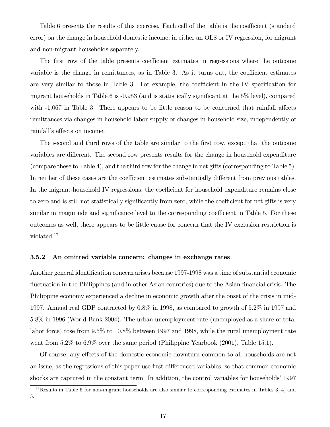Table 6 presents the results of this exercise. Each cell of the table is the coefficient (standard error) on the change in household domestic income, in either an OLS or IV regression, for migrant and non-migrant households separately.

The first row of the table presents coefficient estimates in regressions where the outcome variable is the change in remittances, as in Table  $3$ . As it turns out, the coefficient estimates are very similar to those in Table 3. For example, the coefficient in the IV specification for migrant households in Table 6 is  $-0.953$  (and is statistically significant at the  $5\%$  level), compared with  $-1.067$  in Table 3. There appears to be little reason to be concerned that rainfall affects remittances via changes in household labor supply or changes in household size, independently of rainfall's effects on income.

The second and third rows of the table are similar to the first row, except that the outcome variables are different. The second row presents results for the change in household expenditure (compare these to Table 4), and the third row for the change in net gifts (corresponding to Table 5). In neither of these cases are the coefficient estimates substantially different from previous tables. In the migrant-household IV regressions, the coefficient for household expenditure remains close to zero and is still not statistically significantly from zero, while the coefficient for net gifts is very similar in magnitude and significance level to the corresponding coefficient in Table 5. For these outcomes as well, there appears to be little cause for concern that the IV exclusion restriction is violated.<sup>17</sup>

#### 3.5.2 An omitted variable concern: changes in exchange rates

Another general identification concern arises because 1997-1998 was a time of substantial economic fluctuation in the Philippines (and in other Asian countries) due to the Asian financial crisis. The Philippine economy experienced a decline in economic growth after the onset of the crisis in mid-1997. Annual real GDP contracted by 0.8% in 1998, as compared to growth of 5.2% in 1997 and 5.8% in 1996 (World Bank 2004). The urban unemployment rate (unemployed as a share of total labor force) rose from 9.5% to 10.8% between 1997 and 1998, while the rural unemployment rate went from 5.2% to 6.9% over the same period (Philippine Yearbook (2001), Table 15.1).

Of course, any effects of the domestic economic downturn common to all households are not an issue, as the regressions of this paper use first-differenced variables, so that common economic shocks are captured in the constant term. In addition, the control variables for households<sup>'</sup> 1997

<sup>&</sup>lt;sup>17</sup>Results in Table 6 for non-migrant households are also similar to corresponding estimates in Tables  $3, 4$ , and 5.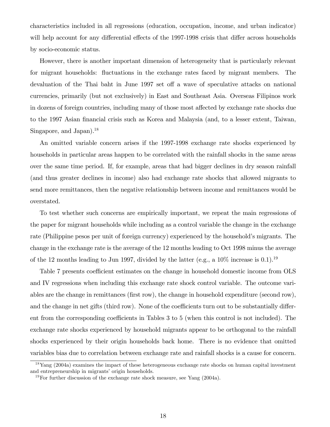characteristics included in all regressions (education, occupation, income, and urban indicator) will help account for any differential effects of the 1997-1998 crisis that differ across households by socio-economic status.

However, there is another important dimension of heterogeneity that is particularly relevant for migrant households: fluctuations in the exchange rates faced by migrant members. The devaluation of the Thai baht in June 1997 set off a wave of speculative attacks on national currencies, primarily (but not exclusively) in East and Southeast Asia. Overseas Filipinos work in dozens of foreign countries, including many of those most affected by exchange rate shocks due to the 1997 Asian Önancial crisis such as Korea and Malaysia (and, to a lesser extent, Taiwan, Singapore, and Japan).<sup>18</sup>

An omitted variable concern arises if the 1997-1998 exchange rate shocks experienced by households in particular areas happen to be correlated with the rainfall shocks in the same areas over the same time period. If, for example, areas that had bigger declines in dry season rainfall (and thus greater declines in income) also had exchange rate shocks that allowed migrants to send more remittances, then the negative relationship between income and remittances would be overstated.

To test whether such concerns are empirically important, we repeat the main regressions of the paper for migrant households while including as a control variable the change in the exchange rate (Philippine pesos per unit of foreign currency) experienced by the household's migrants. The change in the exchange rate is the average of the 12 months leading to Oct 1998 minus the average of the 12 months leading to Jun 1997, divided by the latter (e.g., a  $10\%$  increase is 0.1).<sup>19</sup>

Table 7 presents coefficient estimates on the change in household domestic income from OLS and IV regressions when including this exchange rate shock control variable. The outcome variables are the change in remittances (Örst row), the change in household expenditure (second row), and the change in net gifts (third row). None of the coefficients turn out to be substantially different from the corresponding coefficients in Tables 3 to 5 (when this control is not included). The exchange rate shocks experienced by household migrants appear to be orthogonal to the rainfall shocks experienced by their origin households back home. There is no evidence that omitted variables bias due to correlation between exchange rate and rainfall shocks is a cause for concern.

 $18$ Yang (2004a) examines the impact of these heterogeneous exchange rate shocks on human capital investment and entrepreneurship in migrants' origin households.

<sup>&</sup>lt;sup>19</sup>For further discussion of the exchange rate shock measure, see Yang  $(2004a)$ .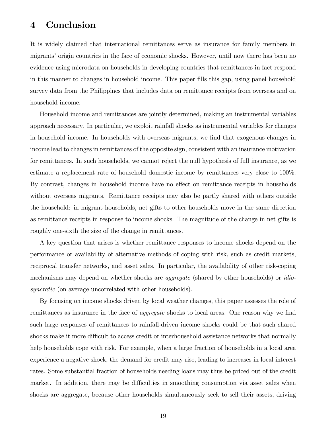# 4 Conclusion

It is widely claimed that international remittances serve as insurance for family members in migrants' origin countries in the face of economic shocks. However, until now there has been no evidence using microdata on households in developing countries that remittances in fact respond in this manner to changes in household income. This paper Ölls this gap, using panel household survey data from the Philippines that includes data on remittance receipts from overseas and on household income.

Household income and remittances are jointly determined, making an instrumental variables approach necessary. In particular, we exploit rainfall shocks as instrumental variables for changes in household income. In households with overseas migrants, we find that exogenous changes in income lead to changes in remittances of the opposite sign, consistent with an insurance motivation for remittances. In such households, we cannot reject the null hypothesis of full insurance, as we estimate a replacement rate of household domestic income by remittances very close to 100%. By contrast, changes in household income have no effect on remittance receipts in households without overseas migrants. Remittance receipts may also be partly shared with others outside the household: in migrant households, net gifts to other households move in the same direction as remittance receipts in response to income shocks. The magnitude of the change in net gifts is roughly one-sixth the size of the change in remittances.

A key question that arises is whether remittance responses to income shocks depend on the performance or availability of alternative methods of coping with risk, such as credit markets, reciprocal transfer networks, and asset sales. In particular, the availability of other risk-coping mechanisms may depend on whether shocks are aggregate (shared by other households) or idiosyncratic (on average uncorrelated with other households).

By focusing on income shocks driven by local weather changes, this paper assesses the role of remittances as insurance in the face of *aggregate* shocks to local areas. One reason why we find such large responses of remittances to rainfall-driven income shocks could be that such shared shocks make it more difficult to access credit or interhousehold assistance networks that normally help households cope with risk. For example, when a large fraction of households in a local area experience a negative shock, the demand for credit may rise, leading to increases in local interest rates. Some substantial fraction of households needing loans may thus be priced out of the credit market. In addition, there may be difficulties in smoothing consumption via asset sales when shocks are aggregate, because other households simultaneously seek to sell their assets, driving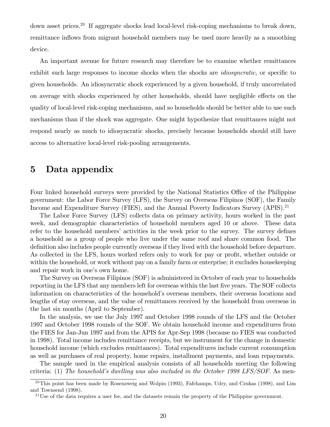down asset prices.<sup>20</sup> If aggregate shocks lead local-level risk-coping mechanisms to break down, remittance inflows from migrant household members may be used more heavily as a smoothing device.

An important avenue for future research may therefore be to examine whether remittances exhibit such large responses to income shocks when the shocks are *idiosyncratic*, or specific to given households. An idiosyncratic shock experienced by a given household, if truly uncorrelated on average with shocks experienced by other households, should have negligible effects on the quality of local-level risk-coping mechanisms, and so households should be better able to use such mechanisms than if the shock was aggregate. One might hypothesize that remittances might not respond nearly as much to idiosyncratic shocks, precisely because households should still have access to alternative local-level risk-pooling arrangements.

# 5 Data appendix

Four linked household surveys were provided by the National Statistics Office of the Philippine government: the Labor Force Survey (LFS), the Survey on Overseas Filipinos (SOF), the Family Income and Expenditure Survey (FIES), and the Annual Poverty Indicators Survey (APIS).<sup>21</sup>

The Labor Force Survey (LFS) collects data on primary activity, hours worked in the past week, and demographic characteristics of household members aged 10 or above. These data refer to the household members' activities in the week prior to the survey. The survey defines a household as a group of people who live under the same roof and share common food. The definition also includes people currently overseas if they lived with the household before departure. As collected in the LFS, hours worked refers only to work for pay or profit, whether outside or within the household, or work without pay on a family farm or enterprise; it excludes housekeeping and repair work in one's own home.

The Survey on Overseas Filipinos (SOF) is administered in October of each year to households reporting in the LFS that any members left for overseas within the last five years. The SOF collects information on characteristics of the household's overseas members, their overseas locations and lengths of stay overseas, and the value of remittances received by the household from overseas in the last six months (April to September).

In the analysis, we use the July 1997 and October 1998 rounds of the LFS and the October 1997 and October 1998 rounds of the SOF. We obtain household income and expenditures from the FIES for Jan-Jun 1997 and from the APIS for Apr-Sep 1998 (because no FIES was conducted in 1998). Total income includes remittance receipts, but we instrument for the change in domestic household income (which excludes remittances). Total expenditures include current consumption as well as purchases of real property, home repairs, installment payments, and loan repayments.

The sample used in the empirical analysis consists of all households meeting the following criteria: (1) The household's dwelling was also included in the October 1998 LFS/SOF. As men-

 $^{20}$ This point has been made by Rosenzweig and Wolpin (1993), Fafchamps, Udry, and Czukas (1998), and Lim and Townsend (1998).

<sup>&</sup>lt;sup>21</sup>Use of the data requires a user fee, and the datasets remain the property of the Philippine government.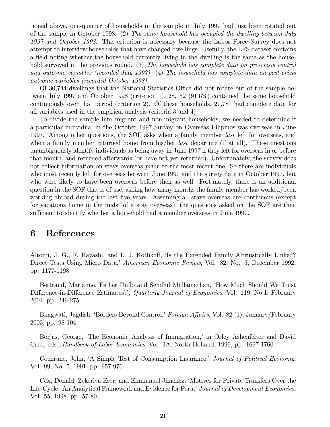tioned above, one-quarter of households in the sample in July 1997 had just been rotated out of the sample in October 1998. (2) The same household has occupied the dwelling between July 1997 and October 1998. This criterion is necessary because the Labor Force Survey does not attempt to interview households that have changed dwellings. Usefully, the LFS dataset contains a field noting whether the household currently living in the dwelling is the same as the household surveyed in the previous round. (3) The household has complete data on pre-crisis control and outcome variables (recorded July 1997). (4) The household has complete data on post-crisis outcome variables (recorded October 1998).

Of 30,744 dwellings that the National Statistics Office did not rotate out of the sample between July 1997 and October 1998 (criterion 1), 28,152 (91.6%) contained the same household continuously over that period (criterion 2). Of these households, 27,781 had complete data for all variables used in the empirical analysis (criteria 3 and 4).

To divide the sample into migrant and non-migrant households, we needed to determine if a particular individual in the October 1997 Survey on Overseas Filipinos was overseas in June 1997. Among other questions, the SOF asks when a family member *last* left for overseas, and when a family member returned home from his/her *last* departure (if at all). These questions unambiguously identify individuals as being away in June 1997 if they left for overseas in or before that month, and returned afterwards (or have not yet returned). Unfortunately, the survey does not collect information on stays overseas *prior* to the most recent one. So there are individuals who most recently left for overseas between June 1997 and the survey date in October 1997, but who were likely to have been overseas before then as well. Fortunately, there is an additional question in the SOF that is of use, asking how many months the family member has worked/been working abroad during the last five years. Assuming all stays overseas are continuous (except for vacations home in the midst of a stay overseas), the questions asked on the SOF are then sufficient to identify whether a household had a member overseas in June 1997.

## 6 References

Altonji, J. G., F. Hayashi, and L. J. Kotlikoff, 'Is the Extended Family Altruistically Linked? Direct Tests Using Micro Data,<sup>†</sup> American Economic Review, Vol. 82, No. 5, December 1992, pp. 1177-1198.

Bertrand, Marianne, Esther Duflo and Sendhil Mullainathan, 'How Much Should We Trust Difference-in-Difference Estimates?', Quarterly Journal of Economics, Vol. 119, No.1, February 2004, pp. 249-275.

Bhagwati, Jagdish, 'Borders Beyond Control,' Foreign Affairs, Vol. 82 (1), January/February 2003, pp. 98-104.

Borjas, George, 'The Economic Analysis of Immigration,' in Orley Ashenfelter and David Card, eds., Handbook of Labor Economics, Vol. 3A, North-Holland, 1999, pp. 1697-1760.

Cochrane, John, 'A Simple Test of Consumption Insurance,' Journal of Political Economy, Vol. 99, No. 5, 1991, pp. 957-976.

Cox, Donald, Zekeriya Eser, and Emmanuel Jimenez, 'Motives for Private Transfers Over the Life-Cycle: An Analytical Framework and Evidence for Peru,' Journal of Development Economics, Vol. 55, 1998, pp. 57-80.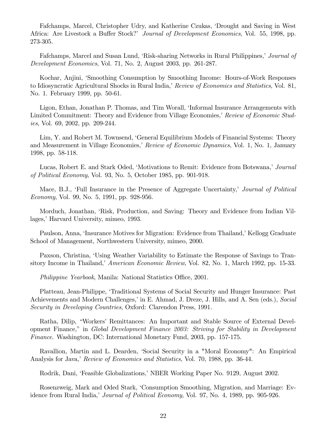Fafchamps, Marcel, Christopher Udry, and Katherine Czukas, ëDrought and Saving in West Africa: Are Livestock a Buffer Stock? *Journal of Development Economics*, Vol. 55, 1998, pp. 273-305.

Fafchamps, Marcel and Susan Lund, 'Risk-sharing Networks in Rural Philippines,' Journal of Development Economics, Vol. 71, No. 2, August 2003, pp. 261-287.

Kochar, Anjini, ëSmoothing Consumption by Smoothing Income: Hours-of-Work Responses to Idiosyncratic Agricultural Shocks in Rural India,' Review of Economics and Statistics, Vol. 81, No. 1. February 1999, pp. 50-61.

Ligon, Ethan, Jonathan P. Thomas, and Tim Worall, 'Informal Insurance Arrangements with Limited Commitment: Theory and Evidence from Village Economies, Review of Economic Studies, Vol. 69, 2002, pp. 209-244.

Lim, Y. and Robert M. Townsend, 'General Equilibrium Models of Financial Systems: Theory and Measurement in Village Economies,' Review of Economic Dynamics, Vol. 1, No. 1, January 1998, pp. 58-118.

Lucas, Robert E. and Stark Oded, 'Motivations to Remit: Evidence from Botswana,' Journal of Political Economy, Vol. 93, No. 5, October 1985, pp. 901-918.

Mace, B.J., 'Full Insurance in the Presence of Aggregate Uncertainty,' Journal of Political Economy, Vol. 99, No. 5, 1991, pp. 928-956.

Morduch, Jonathan, ëRisk, Production, and Saving: Theory and Evidence from Indian Villages,' Harvard University, mimeo, 1993.

Paulson, Anna, 'Insurance Motives for Migration: Evidence from Thailand,' Kellogg Graduate School of Management, Northwestern University, mimeo, 2000.

Paxson, Christina, 'Using Weather Variability to Estimate the Response of Savings to Transitory Income in Thailand, American Economic Review, Vol. 82, No. 1, March 1992, pp. 15-33.

*Philippine Yearbook*, Manila: National Statistics Office, 2001.

Platteau, Jean-Philippe, 'Traditional Systems of Social Security and Hunger Insurance: Past Achievements and Modern Challenges,' in E. Ahmad, J. Dreze, J. Hills, and A. Sen (eds.), Social Security in Developing Countries, Oxford: Clarendon Press, 1991.

Ratha, Dilip, "Workers' Remittances: An Important and Stable Source of External Development Finance,î in Global Development Finance 2003: Striving for Stability in Development Finance. Washington, DC: International Monetary Fund, 2003, pp. 157-175.

Ravallion, Martin and L. Dearden, 'Social Security in a "Moral Economy": An Empirical Analysis for Java,' Review of Economics and Statistics, Vol. 70, 1988, pp. 36-44.

Rodrik, Dani, 'Feasible Globalizations,' NBER Working Paper No. 9129, August 2002.

Rosenzweig, Mark and Oded Stark, ëConsumption Smoothing, Migration, and Marriage: Evidence from Rural India,*' Journal of Political Economy*, Vol. 97, No. 4, 1989, pp. 905-926.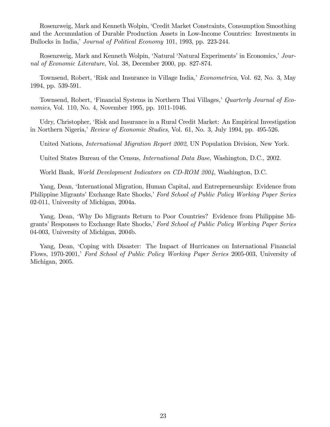Rosenzweig, Mark and Kenneth Wolpin, ëCredit Market Constraints, Consumption Smoothing and the Accumulation of Durable Production Assets in Low-Income Countries: Investments in Bullocks in India,' Journal of Political Economy 101, 1993, pp. 223-244.

Rosenzweig, Mark and Kenneth Wolpin, 'Natural 'Natural Experiments' in Economics, Journal of Economic Literature, Vol. 38, December 2000, pp. 827-874.

Townsend, Robert, 'Risk and Insurance in Village India,' *Econometrica*, Vol. 62, No. 3, May 1994, pp. 539-591.

Townsend, Robert, 'Financial Systems in Northern Thai Villages,' Quarterly Journal of Economics, Vol. 110, No. 4, November 1995, pp. 1011-1046.

Udry, Christopher, ëRisk and Insurance in a Rural Credit Market: An Empirical Investigation in Northern Nigeria, Review of Economic Studies, Vol. 61, No. 3, July 1994, pp. 495-526.

United Nations, *International Migration Report 2002*, UN Population Division, New York.

United States Bureau of the Census, *International Data Base*, Washington, D.C., 2002.

World Bank, World Development Indicators on CD-ROM 2004, Washington, D.C.

Yang, Dean, 'International Migration, Human Capital, and Entrepreneurship: Evidence from Philippine Migrants' Exchange Rate Shocks,' Ford School of Public Policy Working Paper Series 02-011, University of Michigan, 2004a.

Yang, Dean, ëWhy Do Migrants Return to Poor Countries? Evidence from Philippine Migrants' Responses to Exchange Rate Shocks,' Ford School of Public Policy Working Paper Series 04-003, University of Michigan, 2004b.

Yang, Dean, 'Coping with Disaster: The Impact of Hurricanes on International Financial Flows, 1970-2001, Ford School of Public Policy Working Paper Series 2005-003, University of Michigan, 2005.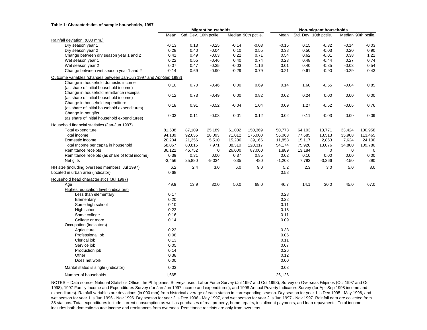#### **Table 1: Characteristics of sample households, 1997**

|                                                                                     | <b>Migrant households</b> |                        |          | Non-migrant households |                     |             |        |                        |             |                     |
|-------------------------------------------------------------------------------------|---------------------------|------------------------|----------|------------------------|---------------------|-------------|--------|------------------------|-------------|---------------------|
|                                                                                     | Mean                      | Std. Dev. 10th pctile. |          |                        | Median 90th pctile. | Mean        |        | Std. Dev. 10th pctile. |             | Median 90th pctile. |
| Rainfall deviation, (000 mm.)                                                       |                           |                        |          |                        |                     |             |        |                        |             |                     |
| Dry season year 1                                                                   | $-0.13$                   | 0.13                   | $-0.25$  | $-0.14$                | $-0.03$             | $-0.15$     | 0.15   | $-0.32$                | $-0.14$     | $-0.03$             |
| Dry season year 2                                                                   | 0.28                      | 0.40                   | $-0.04$  | 0.10                   | 0.55                | 0.38        | 0.50   | $-0.03$                | 0.20        | 0.90                |
| Change between dry season year 1 and 2                                              | 0.41                      | 0.49                   | $-0.03$  | 0.22                   | 0.71                | 0.54        | 0.62   | $-0.01$                | 0.38        | 1.21                |
| Wet season year 1                                                                   | 0.22                      | 0.55                   | $-0.46$  | 0.40                   | 0.74                | 0.23        | 0.48   | $-0.44$                | 0.27        | 0.74                |
| Wet season year 2                                                                   | 0.07                      | 0.47                   | $-0.35$  | $-0.03$                | 1.16                | 0.01        | 0.40   | $-0.35$                | $-0.03$     | 0.54                |
| Change between wet season year 1 and 2                                              | $-0.14$                   | 0.69                   | $-0.90$  | $-0.29$                | 0.79                | $-0.21$     | 0.61   | $-0.90$                | $-0.29$     | 0.43                |
| Outcome variables (changes between Jan-Jun 1997 and Apr-Sep 1998)                   |                           |                        |          |                        |                     |             |        |                        |             |                     |
| Change in household domestic income<br>(as share of initial household income)       | 0.10                      | 0.70                   | $-0.46$  | 0.00                   | 0.69                | 0.14        | 1.60   | $-0.55$                | $-0.04$     | 0.85                |
| Change in household remittance receipts<br>(as share of initial household income)   | 0.12                      | 0.73                   | $-0.49$  | 0.00                   | 0.82                | 0.02        | 0.24   | 0.00                   | 0.00        | 0.00                |
| Change in household expenditure<br>(as share of initial household expenditures)     | 0.18                      | 0.91                   | $-0.52$  | $-0.04$                | 1.04                | 0.09        | 1.27   | $-0.52$                | $-0.06$     | 0.76                |
| Change in net gifts<br>(as share of initial household expenditures)                 | 0.03                      | 0.11                   | $-0.03$  | 0.01                   | 0.12                | 0.02        | 0.11   | $-0.03$                | 0.00        | 0.09                |
| Household financial statistics (Jan-Jun 1997)                                       |                           |                        |          |                        |                     |             |        |                        |             |                     |
| Total expenditure                                                                   | 81,538                    | 87,109                 | 25,189   | 61,002                 | 150,369             | 50,778      | 64,103 | 13,771                 | 33,424      | 100,958             |
| Total income                                                                        | 94,189                    | 92,636                 | 28,093   | 71,012                 | 175,000             | 56,063      | 77,685 | 13,513                 | 35,908      | 113,465             |
| Domestic income                                                                     | 20,204                    | 21,356                 | 5,510    | 15,206                 | 39,166              | 11,858      | 15,117 | 2,863                  | 7,624       | 24,100              |
| Total Income per capita in household                                                | 58,067                    | 80,815                 | 7,971    | 38,310                 | 120,317             | 54,174      | 75,920 | 13,076                 | 34,800      | 109,780             |
| Remittance receipts                                                                 | 36,122                    | 46,752                 | 0        | 26,000                 | 87,000              | 1,889       | 13,184 | 0                      | $\mathbf 0$ | 0                   |
| Remittance receipts (as share of total income)                                      | 0.39                      | 0.31                   | 0.00     | 0.37                   | 0.85                | 0.02        | 0.10   | 0.00                   | 0.00        | 0.00                |
| Net gifts                                                                           | $-3,456$                  | 25,880                 | $-9,034$ | $-335$                 | 480                 | $-1,203$    | 7,793  | $-3,366$               | $-150$      | 290                 |
| HH size (including overseas members, Jul 1997)<br>Located in urban area (indicator) | 6.2<br>0.68               | 2.4                    | 3.0      | 6.0                    | 9.0                 | 5.2<br>0.58 | 2.3    | 3.0                    | 5.0         | 8.0                 |
| Household head characteristics (Jul 1997)                                           |                           |                        |          |                        |                     |             |        |                        |             |                     |
| Age                                                                                 | 49.9                      | 13.9                   | 32.0     | 50.0                   | 68.0                | 46.7        | 14.1   | 30.0                   | 45.0        | 67.0                |
| Highest education level (indicators)                                                |                           |                        |          |                        |                     |             |        |                        |             |                     |
| Less than elementary                                                                | 0.17                      |                        |          |                        |                     | 0.28        |        |                        |             |                     |
| Elementary                                                                          | 0.20                      |                        |          |                        |                     | 0.22        |        |                        |             |                     |
| Some high school                                                                    | 0.10                      |                        |          |                        |                     | 0.11        |        |                        |             |                     |
| High school                                                                         | 0.22                      |                        |          |                        |                     | 0.18        |        |                        |             |                     |
| Some college                                                                        | 0.16                      |                        |          |                        |                     | 0.11        |        |                        |             |                     |
| College or more                                                                     | 0.14                      |                        |          |                        |                     | 0.09        |        |                        |             |                     |
| Occupation (indicators)                                                             |                           |                        |          |                        |                     |             |        |                        |             |                     |
| Agriculture                                                                         | 0.23                      |                        |          |                        |                     | 0.38        |        |                        |             |                     |
| Professional job                                                                    | 0.08                      |                        |          |                        |                     | 0.06        |        |                        |             |                     |
| Clerical job                                                                        | 0.13                      |                        |          |                        |                     | 0.11        |        |                        |             |                     |
| Service job                                                                         | 0.05                      |                        |          |                        |                     | 0.07        |        |                        |             |                     |
| Production job                                                                      | 0.14                      |                        |          |                        |                     | 0.26        |        |                        |             |                     |
| Other                                                                               | 0.38                      |                        |          |                        |                     | 0.12        |        |                        |             |                     |
| Does net work                                                                       | 0.00                      |                        |          |                        |                     | 0.00        |        |                        |             |                     |
| Marital status is single (indicator)                                                | 0.03                      |                        |          |                        |                     | 0.03        |        |                        |             |                     |
| Number of households                                                                | 1,665                     |                        |          |                        |                     | 26,126      |        |                        |             |                     |

NOTES -- Data source: National Statistics Office, the Philippines. Surveys used: Labor Force Survey (Jul 1997 and Oct 1998), Survey on Overseas Filipinos (Oct 1997 and Oct 1998), 1997 Family Income and Expenditures Survey (for Jan-Jun 1997 income and expenditures), and 1998 Annual Poverty Indicators Survey (for Apr-Sep 1998 income and expenditures). Rainfall variables are deviations (in 000 mm) from historical average of each station in corresponding season. Dry season for year 1 is Dec 1995 - May 1996, and wet season for year 1 is Jun 1996 - Nov 1996. Dry season for year 2 is Dec 1996 - May 1997, and wet season for year 2 is Jun 1997 - Nov 1997. Rainfall data are collected from 38 stations. Total expenditures include current consumption as well as purchases of real property, home repairs, installment payments, and loan repayments. Total income includes both domestic-source income and remittances from overseas. Remittance receipts are only from overseas.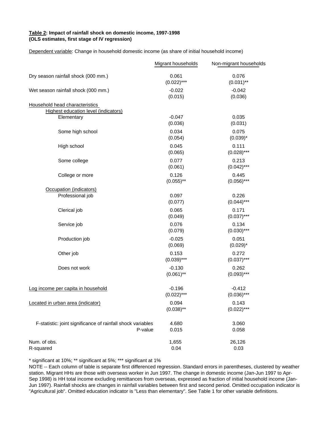#### **Table 2: Impact of rainfall shock on domestic income, 1997-1998 (OLS estimates, first stage of IV regression)**

Dependent variable: Change in household domestic income (as share of initial household income)

|                                                                        | Migrant households        | Non-migrant households    |
|------------------------------------------------------------------------|---------------------------|---------------------------|
| Dry season rainfall shock (000 mm.)                                    | 0.061<br>$(0.022)$ ***    | 0.076<br>$(0.031)$ **     |
| Wet season rainfall shock (000 mm.)                                    | $-0.022$<br>(0.015)       | $-0.042$<br>(0.036)       |
| Household head characteristics                                         |                           |                           |
| Highest education level (indicators)                                   |                           |                           |
| Elementary                                                             | $-0.047$<br>(0.036)       | 0.035<br>(0.031)          |
| Some high school                                                       | 0.034<br>(0.054)          | 0.075<br>$(0.039)^*$      |
| High school                                                            | 0.045<br>(0.065)          | 0.111<br>$(0.028)$ ***    |
| Some college                                                           | 0.077<br>(0.061)          | 0.213<br>$(0.042)$ ***    |
| College or more                                                        | 0.126<br>$(0.055)$ **     | 0.445<br>$(0.056)$ ***    |
| Occupation (indicators)                                                |                           |                           |
| Professional job                                                       | 0.097<br>(0.077)          | 0.226<br>$(0.044)$ ***    |
| Clerical job                                                           | 0.065<br>(0.049)          | 0.171<br>$(0.037)$ ***    |
| Service job                                                            | 0.076<br>(0.079)          | 0.134<br>$(0.030)$ ***    |
| Production job                                                         | $-0.025$<br>(0.069)       | 0.051<br>$(0.029)^*$      |
| Other job                                                              | 0.153<br>$(0.039)$ ***    | 0.272<br>$(0.037)$ ***    |
| Does not work                                                          | $-0.130$<br>$(0.061)$ **  | 0.262<br>$(0.093)$ ***    |
| Log income per capita in household                                     | $-0.196$<br>$(0.022)$ *** | $-0.412$<br>$(0.036)$ *** |
| Located in urban area (indicator)                                      | 0.094<br>$(0.038)$ **     | 0.143<br>$(0.022)$ ***    |
| F-statistic: joint significance of rainfall shock variables<br>P-value | 4.680<br>0.015            | 3.060<br>0.058            |
| Num. of obs.<br>R-squared                                              | 1,655<br>0.04             | 26,126<br>0.03            |

\* significant at 10%; \*\* significant at 5%; \*\*\* significant at 1%

NOTE -- Each column of table is separate first differenced regression. Standard errors in parentheses, clustered by weather station. Migrant HHs are those with overseas worker in Jun 1997. The change in domestic income (Jan-Jun 1997 to Apr-Sep 1998) is HH total income excluding remittances from overseas, expressed as fraction of initial household income (Jan-Jun 1997). Rainfall shocks are changes in rainfall variables between first and second period. Omitted occupation indicator is "Agricultural job". Omitted education indicator is "Less than elementary". See Table 1 for other variable definitions.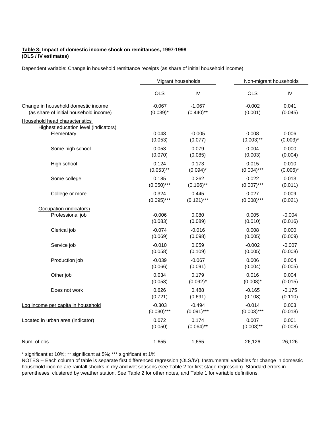#### **Table 3: Impact of domestic income shock on remittances, 1997-1998 (OLS / IV estimates)**

Dependent variable: Change in household remittance receipts (as share of initial household income)

|                                        | Migrant households |                           | Non-migrant households |                           |  |
|----------------------------------------|--------------------|---------------------------|------------------------|---------------------------|--|
|                                        | OLS                | $\underline{\mathsf{IV}}$ | OLS                    | $\underline{\mathsf{IV}}$ |  |
| Change in household domestic income    | $-0.067$           | $-1.067$                  | $-0.002$               | 0.041                     |  |
| (as share of initial household income) | $(0.039)^*$        | $(0.440)$ **              | (0.001)                | (0.045)                   |  |
| Household head characteristics         |                    |                           |                        |                           |  |
| Highest education level (indicators)   | 0.043              | $-0.005$                  | 0.008                  | 0.006                     |  |
| Elementary                             | (0.053)            | (0.077)                   | $(0.003)$ **           | $(0.003)^*$               |  |
| Some high school                       | 0.053              | 0.079                     | 0.004                  | 0.000                     |  |
|                                        | (0.070)            | (0.085)                   | (0.003)                | (0.004)                   |  |
| High school                            | 0.124              | 0.173                     | 0.015                  | 0.010                     |  |
|                                        | $(0.053)$ **       | $(0.094)^*$               | $(0.004)$ ***          | $(0.006)^*$               |  |
| Some college                           | 0.185              | 0.262                     | 0.022                  | 0.013                     |  |
|                                        | $(0.050)$ ***      | $(0.106)$ **              | $(0.007)$ ***          | (0.011)                   |  |
| College or more                        | 0.324              | 0.445                     | 0.027                  | 0.009                     |  |
|                                        | $(0.095)$ ***      | $(0.121)$ ***             | $(0.008)$ ***          | (0.021)                   |  |
| Occupation (indicators)                |                    |                           |                        |                           |  |
| Professional job                       | $-0.006$           | 0.080                     | 0.005                  | $-0.004$                  |  |
|                                        | (0.083)            | (0.089)                   | (0.010)                | (0.016)                   |  |
| Clerical job                           | $-0.074$           | $-0.016$                  | 0.008                  | 0.000                     |  |
|                                        | (0.069)            | (0.098)                   | (0.005)                | (0.009)                   |  |
| Service job                            | $-0.010$           | 0.059                     | $-0.002$               | $-0.007$                  |  |
|                                        | (0.058)            | (0.109)                   | (0.005)                | (0.008)                   |  |
| Production job                         | $-0.039$           | $-0.067$                  | 0.006                  | 0.004                     |  |
|                                        | (0.066)            | (0.091)                   | (0.004)                | (0.005)                   |  |
| Other job                              | 0.034              | 0.179                     | 0.016                  | 0.004                     |  |
|                                        | (0.053)            | $(0.092)^{*}$             | $(0.008)^*$            | (0.015)                   |  |
| Does not work                          | 0.626              | 0.488                     | $-0.165$               | $-0.175$                  |  |
|                                        | (0.721)            | (0.691)                   | (0.108)                | (0.110)                   |  |
| Log income per capita in household     | $-0.303$           | $-0.494$                  | $-0.014$               | 0.003                     |  |
|                                        | $(0.030)$ ***      | $(0.091)$ ***             | $(0.003)$ ***          | (0.018)                   |  |
| Located in urban area (indicator)      | 0.072              | 0.174                     | 0.007                  | 0.001                     |  |
|                                        | (0.050)            | $(0.064)$ **              | $(0.003)$ **           | (0.008)                   |  |
| Num. of obs.                           | 1,655              | 1,655                     | 26,126                 | 26,126                    |  |

\* significant at 10%; \*\* significant at 5%; \*\*\* significant at 1%

NOTES -- Each column of table is separate first differenced regression (OLS/IV). Instrumental variables for change in domestic household income are rainfall shocks in dry and wet seasons (see Table 2 for first stage regression). Standard errors in parentheses, clustered by weather station. See Table 2 for other notes, and Table 1 for variable definitions.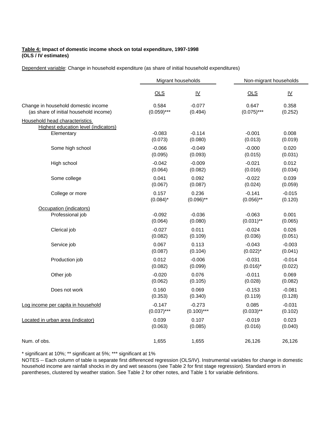#### **Table 4: Impact of domestic income shock on total expenditure, 1997-1998 (OLS / IV estimates)**

Dependent variable: Change in household expenditure (as share of initial household expenditures)

|                                             | Migrant households |                           | Non-migrant households |                           |
|---------------------------------------------|--------------------|---------------------------|------------------------|---------------------------|
|                                             | OLS                | $\underline{\mathsf{IV}}$ | $OLS$                  | $\underline{\mathsf{IV}}$ |
| Change in household domestic income         | 0.584              | $-0.077$                  | 0.647                  | 0.358                     |
| (as share of initial household income)      | $(0.059)$ ***      | (0.494)                   | $(0.075)$ ***          | (0.252)                   |
| Household head characteristics              |                    |                           |                        |                           |
| <b>Highest education level (indicators)</b> | $-0.083$           | $-0.114$                  | $-0.001$               | 0.008                     |
| Elementary                                  | (0.073)            | (0.080)                   | (0.013)                | (0.019)                   |
| Some high school                            | $-0.066$           | $-0.049$                  | $-0.000$               | 0.020                     |
|                                             | (0.095)            | (0.093)                   | (0.015)                | (0.031)                   |
| High school                                 | $-0.042$           | $-0.009$                  | $-0.021$               | 0.012                     |
|                                             | (0.064)            | (0.082)                   | (0.016)                | (0.034)                   |
| Some college                                | 0.041              | 0.092                     | $-0.022$               | 0.039                     |
|                                             | (0.067)            | (0.087)                   | (0.024)                | (0.059)                   |
| College or more                             | 0.157              | 0.236                     | $-0.141$               | $-0.015$                  |
|                                             | $(0.084)$ *        | $(0.096)$ **              | $(0.056)$ **           | (0.120)                   |
| Occupation (indicators)                     |                    |                           |                        |                           |
| Professional job                            | $-0.092$           | $-0.036$                  | $-0.063$               | 0.001                     |
|                                             | (0.064)            | (0.080)                   | $(0.031)$ **           | (0.065)                   |
| Clerical job                                | $-0.027$           | 0.011                     | $-0.024$               | 0.026                     |
|                                             | (0.082)            | (0.109)                   | (0.036)                | (0.051)                   |
| Service job                                 | 0.067              | 0.113                     | $-0.043$               | $-0.003$                  |
|                                             | (0.087)            | (0.104)                   | $(0.022)^{*}$          | (0.041)                   |
| Production job                              | 0.012              | $-0.006$                  | $-0.031$               | $-0.014$                  |
|                                             | (0.082)            | (0.099)                   | $(0.016)^*$            | (0.022)                   |
| Other job                                   | $-0.020$           | 0.076                     | $-0.011$               | 0.069                     |
|                                             | (0.062)            | (0.105)                   | (0.028)                | (0.082)                   |
| Does not work                               | 0.160              | 0.069                     | $-0.153$               | $-0.081$                  |
|                                             | (0.353)            | (0.340)                   | (0.119)                | (0.128)                   |
| Log income per capita in household          | $-0.147$           | $-0.273$                  | 0.085                  | $-0.031$                  |
|                                             | $(0.037)$ ***      | $(0.100)$ ***             | $(0.033)$ **           | (0.102)                   |
| Located in urban area (indicator)           | 0.039              | 0.107                     | $-0.019$               | 0.023                     |
|                                             | (0.063)            | (0.085)                   | (0.016)                | (0.040)                   |
| Num. of obs.                                | 1,655              | 1,655                     | 26,126                 | 26,126                    |

\* significant at 10%; \*\* significant at 5%; \*\*\* significant at 1%

NOTES -- Each column of table is separate first differenced regression (OLS/IV). Instrumental variables for change in domestic household income are rainfall shocks in dry and wet seasons (see Table 2 for first stage regression). Standard errors in parentheses, clustered by weather station. See Table 2 for other notes, and Table 1 for variable definitions.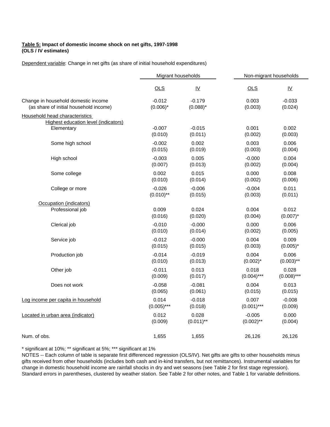#### **Table 5: Impact of domestic income shock on net gifts, 1997-1998 (OLS / IV estimates)**

Dependent variable: Change in net gifts (as share of initial household expenditures)

|                                                                        | Migrant households |                           | Non-migrant households |                           |  |
|------------------------------------------------------------------------|--------------------|---------------------------|------------------------|---------------------------|--|
|                                                                        | $OLS$              | $\underline{\mathsf{IV}}$ | $OLS$                  | $\underline{\mathsf{IV}}$ |  |
| Change in household domestic income                                    | $-0.012$           | $-0.179$                  | 0.003                  | $-0.033$                  |  |
| (as share of initial household income)                                 | $(0.006)^*$        | $(0.088)^*$               | (0.003)                | (0.024)                   |  |
| Household head characteristics<br>Highest education level (indicators) |                    |                           |                        |                           |  |
| Elementary                                                             | $-0.007$           | $-0.015$                  | 0.001                  | 0.002                     |  |
|                                                                        | (0.010)            | (0.011)                   | (0.002)                | (0.003)                   |  |
| Some high school                                                       | $-0.002$           | 0.002                     | 0.003                  | 0.006                     |  |
|                                                                        | (0.015)            | (0.019)                   | (0.003)                | (0.004)                   |  |
| High school                                                            | $-0.003$           | 0.005                     | $-0.000$               | 0.004                     |  |
|                                                                        | (0.007)            | (0.013)                   | (0.002)                | (0.004)                   |  |
| Some college                                                           | 0.002              | 0.015                     | 0.000                  | 0.008                     |  |
|                                                                        | (0.010)            | (0.014)                   | (0.002)                | (0.006)                   |  |
| College or more                                                        | $-0.026$           | $-0.006$                  | $-0.004$               | 0.011                     |  |
|                                                                        | $(0.010)$ **       | (0.015)                   | (0.003)                | (0.011)                   |  |
| Occupation (indicators)                                                |                    |                           |                        |                           |  |
| Professional job                                                       | 0.009              | 0.024                     | 0.004                  | 0.012                     |  |
|                                                                        | (0.016)            | (0.020)                   | (0.004)                | $(0.007)^*$               |  |
| Clerical job                                                           | $-0.010$           | $-0.000$                  | 0.000                  | 0.006                     |  |
|                                                                        | (0.010)            | (0.014)                   | (0.002)                | (0.005)                   |  |
| Service job                                                            | $-0.012$           | $-0.000$                  | 0.004                  | 0.009                     |  |
|                                                                        | (0.015)            | (0.015)                   | (0.003)                | $(0.005)^*$               |  |
| Production job                                                         | $-0.014$           | $-0.019$                  | 0.004                  | 0.006                     |  |
|                                                                        | (0.010)            | (0.013)                   | $(0.002)^{*}$          | $(0.003)$ **              |  |
| Other job                                                              | $-0.011$           | 0.013                     | 0.018                  | 0.028                     |  |
|                                                                        | (0.009)            | (0.017)                   | $(0.004)$ ***          | $(0.008)$ ***             |  |
| Does not work                                                          | $-0.058$           | $-0.081$                  | 0.004                  | 0.013                     |  |
|                                                                        | (0.065)            | (0.061)                   | (0.015)                | (0.015)                   |  |
| Log income per capita in household                                     | 0.014              | $-0.018$                  | 0.007                  | $-0.008$                  |  |
|                                                                        | $(0.005)$ ***      | (0.018)                   | $(0.001)$ ***          | (0.009)                   |  |
| Located in urban area (indicator)                                      | 0.012              | 0.028                     | $-0.005$               | 0.000                     |  |
|                                                                        | (0.009)            | $(0.011)$ **              | $(0.002)$ **           | (0.004)                   |  |
| Num. of obs.                                                           | 1,655              | 1,655                     | 26,126                 | 26,126                    |  |

\* significant at 10%; \*\* significant at 5%; \*\*\* significant at 1%

NOTES -- Each column of table is separate first differenced regression (OLS/IV). Net gifts are gifts to other households minus gifts received from other households (includes both cash and in-kind transfers, but not remittances). Instrumental variables for change in domestic household income are rainfall shocks in dry and wet seasons (see Table 2 for first stage regression). Standard errors in parentheses, clustered by weather station. See Table 2 for other notes, and Table 1 for variable definitions.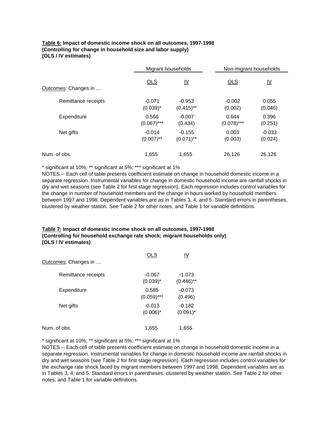#### **Table 6: Impact of domestic income shock on all outcomes, 1997-1998 (Controlling for change in household size and labor supply) (OLS / IV estimates)**

|                      | Migrant households |                           | Non-migrant households |                           |  |
|----------------------|--------------------|---------------------------|------------------------|---------------------------|--|
| Outcomes: Changes in | OLS                | $\underline{\mathsf{IV}}$ | OLS                    | $\underline{\mathsf{IV}}$ |  |
| Remittance receipts  | $-0.071$           | $-0.953$                  | $-0.002$               | 0.055                     |  |
|                      | $(0.039)^*$        | $(0.415)$ **              | (0.002)                | (0.046)                   |  |
| Expenditure          | 0.566              | $-0.007$                  | 0.644                  | 0.396                     |  |
|                      | $(0.067)$ ***      | (0.434)                   | $(0.078)$ ***          | (0.251)                   |  |
| Net gifts            | $-0.014$           | $-0.155$                  | 0.003                  | $-0.033$                  |  |
|                      | $(0.007)$ **       | $(0.071)$ **              | (0.003)                | (0.024)                   |  |
| Num. of obs.         | 1,655              | 1.655                     | 26,126                 | 26.126                    |  |

\* significant at 10%; \*\* significant at 5%; \*\*\* significant at 1%

NOTES -- Each cell of table presents coefficient estimate on change in household domestic income in a separate regression. Instrumental variables for change in domestic household income are rainfall shocks in dry and wet seasons (see Table 2 for first stage regression). Each regression includes control variables for the change in number of household members and the change in hours worked by household members between 1997 and 1998. Dependent variables are as in Tables 3, 4, and 5. Standard errors in parentheses, clustered by weather station. See Table 2 for other notes, and Table 1 for variable definitions.

#### **Table 7: Impact of domestic income shock on all outcomes, 1997-1998 (Controlling for household exchange rate shock; migrant households only) (OLS / IV estimates)**

| Outcomes: Changes in | <b>OLS</b>              | IV                       |
|----------------------|-------------------------|--------------------------|
| Remittance receipts  | $-0.067$<br>$(0.039)^*$ | $-1.073$<br>$(0.446)$ ** |
| Expenditure          | 0.585<br>$(0.059)$ ***  | $-0.073$<br>(0.496)      |
| Net gifts            | $-0.013$<br>$(0.006)^*$ | $-0.182$<br>$(0.091)^*$  |
| Num. of obs.         | 1,655                   | 1,655                    |

\* significant at 10%; \*\* significant at 5%; \*\*\* significant at 1%

NOTES -- Each cell of table presents coefficient estimate on change in household domestic income in a separate regression. Instrumental variables for change in domestic household income are rainfall shocks in dry and wet seasons (see Table 2 for first stage regression). Each regression includes control variables for the exchange rate shock faced by migrant members between 1997 and 1998. Dependent variables are as in Tables 3, 4, and 5. Standard errors in parentheses, clustered by weather station. See Table 2 for other notes, and Table 1 for variable definitions.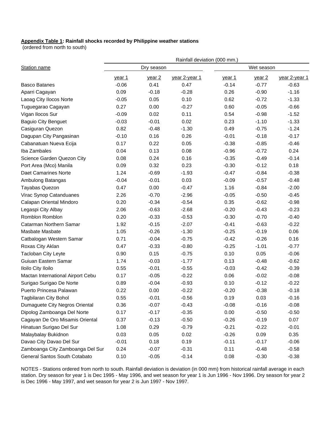#### **Appendix Table 1: Rainfall shocks recorded by Philippine weather stations**

(ordered from north to south)

|                                   | Rainfall deviation (000 mm.) |                   |               |         |                   |               |
|-----------------------------------|------------------------------|-------------------|---------------|---------|-------------------|---------------|
| Station name                      | Dry season                   |                   |               |         | Wet season        |               |
|                                   | <u>year 1</u>                | year <sub>2</sub> | year 2-year 1 | year 1  | year <sub>2</sub> | year 2-year 1 |
| <b>Basco Batanes</b>              | $-0.06$                      | 0.41              | 0.47          | $-0.14$ | $-0.77$           | $-0.63$       |
| Aparri Cagayan                    | 0.09                         | $-0.18$           | $-0.28$       | 0.26    | $-0.90$           | $-1.16$       |
| Laoag City Ilocos Norte           | $-0.05$                      | 0.05              | 0.10          | 0.62    | $-0.72$           | $-1.33$       |
| Tuguegarao Cagayan                | 0.27                         | 0.00              | $-0.27$       | 0.60    | $-0.05$           | $-0.66$       |
| Vigan Ilocos Sur                  | $-0.09$                      | 0.02              | 0.11          | 0.54    | $-0.98$           | $-1.52$       |
| <b>Baguio City Benguet</b>        | $-0.03$                      | $-0.01$           | 0.02          | 0.23    | $-1.10$           | $-1.33$       |
| Casiguran Quezon                  | 0.82                         | $-0.48$           | $-1.30$       | 0.49    | $-0.75$           | $-1.24$       |
| Dagupan City Pangasinan           | $-0.10$                      | 0.16              | 0.26          | $-0.01$ | $-0.18$           | $-0.17$       |
| Cabanatuan Nueva Ecija            | 0.17                         | 0.22              | 0.05          | $-0.38$ | $-0.85$           | $-0.46$       |
| Iba Zambales                      | 0.04                         | 0.13              | 0.08          | $-0.96$ | $-0.72$           | 0.24          |
| Science Garden Quezon City        | 0.08                         | 0.24              | 0.16          | $-0.35$ | $-0.49$           | $-0.14$       |
| Port Area (Mco) Manila            | 0.09                         | 0.32              | 0.23          | $-0.30$ | $-0.12$           | 0.18          |
| <b>Daet Camarines Norte</b>       | 1.24                         | $-0.69$           | $-1.93$       | $-0.47$ | $-0.84$           | $-0.38$       |
| Ambulong Batangas                 | $-0.04$                      | $-0.01$           | 0.03          | $-0.09$ | $-0.57$           | $-0.48$       |
| Tayabas Quezon                    | 0.47                         | 0.00              | $-0.47$       | 1.16    | $-0.84$           | $-2.00$       |
| Virac Synop Catanduanes           | 2.26                         | $-0.70$           | $-2.96$       | $-0.05$ | $-0.50$           | $-0.45$       |
| Calapan Oriental Mindoro          | 0.20                         | $-0.34$           | $-0.54$       | 0.35    | $-0.62$           | $-0.98$       |
| Legaspi City Albay                | 2.06                         | $-0.63$           | $-2.68$       | $-0.20$ | $-0.43$           | $-0.23$       |
| Romblon Romblon                   | 0.20                         | $-0.33$           | $-0.53$       | $-0.30$ | $-0.70$           | $-0.40$       |
| Catarman Northern Samar           | 1.92                         | $-0.15$           | $-2.07$       | $-0.41$ | $-0.63$           | $-0.22$       |
| Masbate Masbate                   | 1.05                         | $-0.26$           | $-1.30$       | $-0.25$ | $-0.19$           | 0.06          |
| Catbalogan Western Samar          | 0.71                         | $-0.04$           | $-0.75$       | $-0.42$ | $-0.26$           | 0.16          |
| Roxas City Aklan                  | 0.47                         | $-0.33$           | $-0.80$       | $-0.25$ | $-1.01$           | $-0.77$       |
| Tacloban City Leyte               | 0.90                         | 0.15              | $-0.75$       | 0.10    | 0.05              | $-0.06$       |
| Guiuan Eastern Samar              | 1.74                         | $-0.03$           | $-1.77$       | 0.13    | $-0.48$           | $-0.62$       |
| Iloilo City Iloilo                | 0.55                         | $-0.01$           | $-0.55$       | $-0.03$ | $-0.42$           | $-0.39$       |
| Mactan International Airport Cebu | 0.17                         | $-0.05$           | $-0.22$       | 0.06    | $-0.02$           | $-0.08$       |
| Surigao Surigao De Norte          | 0.89                         | $-0.04$           | $-0.93$       | 0.10    | $-0.12$           | $-0.22$       |
| Puerto Princesa Palawan           | 0.22                         | 0.00              | $-0.22$       | $-0.20$ | $-0.38$           | $-0.18$       |
| <b>Tagbilaran City Bohol</b>      | 0.55                         | $-0.01$           | $-0.56$       | 0.19    | 0.03              | $-0.16$       |
| Dumaguete City Negros Oriental    | 0.36                         | $-0.07$           | $-0.43$       | $-0.08$ | $-0.16$           | $-0.08$       |
| Dipolog Zamboanga Del Norte       | 0.17                         | $-0.17$           | $-0.35$       | 0.00    | $-0.50$           | $-0.50$       |
| Cagayan De Oro Misamis Oriental   | 0.37                         | $-0.13$           | $-0.50$       | $-0.26$ | $-0.19$           | 0.07          |
| Hinatuan Surigao Del Sur          | 1.08                         | 0.29              | $-0.79$       | $-0.21$ | $-0.22$           | $-0.01$       |
| Malaybalay Bukidnon               | 0.03                         | 0.05              | 0.02          | $-0.26$ | 0.09              | 0.35          |
| Davao City Davao Del Sur          | $-0.01$                      | 0.18              | 0.19          | $-0.11$ | $-0.17$           | $-0.06$       |
| Zamboanga City Zamboanga Del Sur  | 0.24                         | $-0.07$           | $-0.31$       | 0.11    | $-0.48$           | $-0.58$       |
| General Santos South Cotabato     | 0.10                         | $-0.05$           | $-0.14$       | 0.08    | $-0.30$           | $-0.38$       |

NOTES - Stations ordered from north to south. Rainfall deviation is deviation (in 000 mm) from historical rainfall average in each station. Dry season for year 1 is Dec 1995 - May 1996, and wet season for year 1 is Jun 1996 - Nov 1996. Dry season for year 2 is Dec 1996 - May 1997, and wet season for year 2 is Jun 1997 - Nov 1997.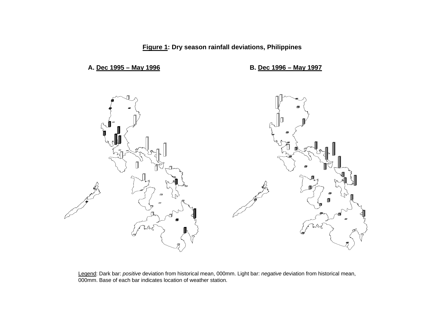**Figure 1: Dry season rainfall deviations, Philippines**

### **A. Dec 1995 – May 1996 B. Dec 1996 – May 1997**



Legend: Dark bar: *positive* deviation from historical mean, 000mm. Light bar: *negative* deviation from historical mean, 000mm. Base of each bar indicates location of weather station.